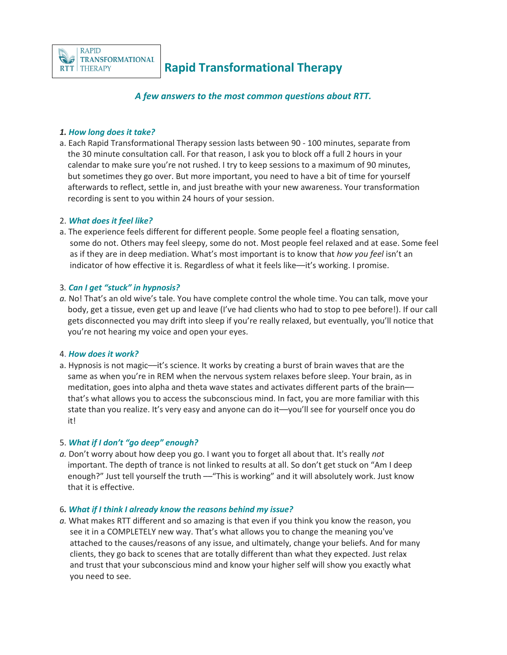

# **Rapid Transformational Therapy**

*A few answers to the most common questions about RTT.*

## *1. How long does it take?*

a. Each Rapid Transformational Therapy session lasts between 90 - 100 minutes, separate from the 30 minute consultation call. For that reason, I ask you to block off a full 2 hours in your calendar to make sure you're not rushed. I try to keep sessions to a maximum of 90 minutes, but sometimes they go over. But more important, you need to have a bit of time for yourself afterwards to reflect, settle in, and just breathe with your new awareness. Your transformation recording is sent to you within 24 hours of your session.

## 2. *What does it feel like?*

a. The experience feels different for different people. Some people feel a floating sensation, some do not. Others may feel sleepy, some do not. Most people feel relaxed and at ease. Some feel as if they are in deep mediation. What's most important is to know that *how you feel* isn't an indicator of how effective it is. Regardless of what it feels like––it's working. I promise.

## 3*. Can I get "stuck" in hypnosis?*

*a.* No! That's an old wive's tale. You have complete control the whole time. You can talk, move your body, get a tissue, even get up and leave (I've had clients who had to stop to pee before!). If our call gets disconnected you may drift into sleep if you're really relaxed, but eventually, you'll notice that you're not hearing my voice and open your eyes.

## 4. *How does it work?*

a. Hypnosis is not magic––it's science. It works by creating a burst of brain waves that are the same as when you're in REM when the nervous system relaxes before sleep. Your brain, as in meditation, goes into alpha and theta wave states and activates different parts of the brain–– that's what allows you to access the subconscious mind. In fact, you are more familiar with this state than you realize. It's very easy and anyone can do it––you'll see for yourself once you do it!

## 5. *What if I don't "go deep" enough?*

*a.* Don't worry about how deep you go. I want you to forget all about that. It's really *not* important. The depth of trance is not linked to results at all. So don't get stuck on "Am I deep enough?" Just tell yourself the truth — "This is working" and it will absolutely work. Just know that it is effective.

## 6*. What if I think I already know the reasons behind my issue?*

*a.* What makes RTT different and so amazing is that even if you think you know the reason, you see it in a COMPLETELY new way. That's what allows you to change the meaning you've attached to the causes/reasons of any issue, and ultimately, change your beliefs. And for many clients, they go back to scenes that are totally different than what they expected. Just relax and trust that your subconscious mind and know your higher self will show you exactly what you need to see.